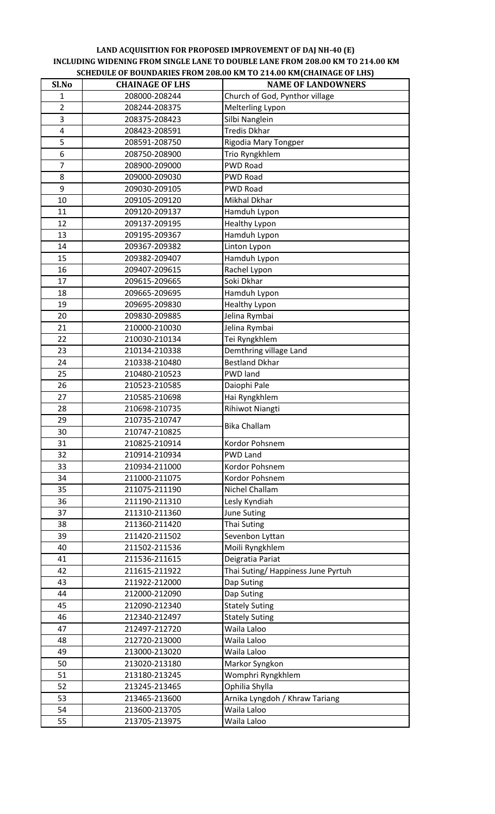## **LAND ACQUISITION FOR PROPOSED IMPROVEMENT OF DAJ NH‐40 (E) INCLUDING WIDENING FROM SINGLE LANE TO DOUBLE LANE FROM 208.00 KM TO 214.00 KM SCHEDULE OF BOUNDARIES FROM 208.00 KM TO 214.00 KM(CHAINAGE OF LHS)**

| Sl.No                   | <b>CHAINAGE OF LHS</b>         | <b>NAME OF LANDOWNERS</b>         |
|-------------------------|--------------------------------|-----------------------------------|
| $\mathbf{1}$            | 208000-208244                  | Church of God, Pynthor village    |
| $\overline{2}$          | 208244-208375                  | Melterling Lypon                  |
| 3                       | 208375-208423                  | Silbi Nanglein                    |
| $\overline{\mathbf{4}}$ | 208423-208591                  | <b>Tredis Dkhar</b>               |
| 5                       | 208591-208750                  | Rigodia Mary Tongper              |
| 6                       | 208750-208900                  | Trio Ryngkhlem                    |
| $\overline{7}$          | 208900-209000                  | <b>PWD Road</b>                   |
| 8                       | 209000-209030                  | <b>PWD Road</b>                   |
| 9                       | 209030-209105                  | <b>PWD Road</b>                   |
| 10                      | 209105-209120                  | Mikhal Dkhar                      |
| 11                      | 209120-209137                  | Hamduh Lypon                      |
| 12                      | 209137-209195                  | <b>Healthy Lypon</b>              |
| 13                      | 209195-209367                  | Hamduh Lypon                      |
| 14                      | 209367-209382                  | Linton Lypon                      |
| 15                      | 209382-209407                  | Hamduh Lypon                      |
| 16                      | 209407-209615                  | Rachel Lypon                      |
| 17                      | 209615-209665                  | Soki Dkhar                        |
| 18                      | 209665-209695                  | Hamduh Lypon                      |
| 19                      | 209695-209830                  | <b>Healthy Lypon</b>              |
| 20                      | 209830-209885                  | Jelina Rymbai                     |
| 21                      | 210000-210030                  | Jelina Rymbai                     |
| 22                      | 210030-210134                  | Tei Ryngkhlem                     |
| 23                      | 210134-210338                  | Demthring village Land            |
| 24                      | 210338-210480                  | <b>Bestland Dkhar</b>             |
| 25                      | 210480-210523                  | <b>PWD</b> land                   |
| 26                      | 210523-210585                  | Daiophi Pale                      |
| 27                      | 210585-210698                  | Hai Ryngkhlem                     |
| 28                      | 210698-210735                  | Rihiwot Niangti                   |
| 29                      | 210735-210747                  | <b>Bika Challam</b>               |
| 30                      | 210747-210825                  |                                   |
| 31                      | 210825-210914                  | Kordor Pohsnem<br><b>PWD Land</b> |
| 32<br>33                | 210914-210934<br>210934-211000 | Kordor Pohsnem                    |
| 34                      | 211000-211075                  | Kordor Pohsnem                    |
| 35                      | 211075-211190                  | Nichel Challam                    |
| 36                      | 211190-211310                  | Lesly Kyndiah                     |
| 37                      | 211310-211360                  | <b>June Suting</b>                |
| 38                      | 211360-211420                  | Thai Suting                       |
| 39                      | 211420-211502                  | Sevenbon Lyttan                   |
| 40                      | 211502-211536                  | Moili Ryngkhlem                   |
| 41                      | 211536-211615                  | Deigratia Pariat                  |
| 42                      | 211615-211922                  | Thai Suting/Happiness June Pyrtuh |
| 43                      | 211922-212000                  | Dap Suting                        |
| 44                      | 212000-212090                  | Dap Suting                        |
| 45                      | 212090-212340                  | <b>Stately Suting</b>             |
| 46                      | 212340-212497                  | <b>Stately Suting</b>             |
| 47                      | 212497-212720                  | Waila Laloo                       |
| 48                      | 212720-213000                  | Waila Laloo                       |
| 49                      | 213000-213020                  | Waila Laloo                       |
| 50                      | 213020-213180                  | Markor Syngkon                    |
| 51                      | 213180-213245                  | Womphri Ryngkhlem                 |
| 52                      | 213245-213465                  | Ophilia Shylla                    |
| 53                      | 213465-213600                  | Arnika Lyngdoh / Khraw Tariang    |
| 54                      | 213600-213705                  | Waila Laloo                       |
| 55                      | 213705-213975                  | Waila Laloo                       |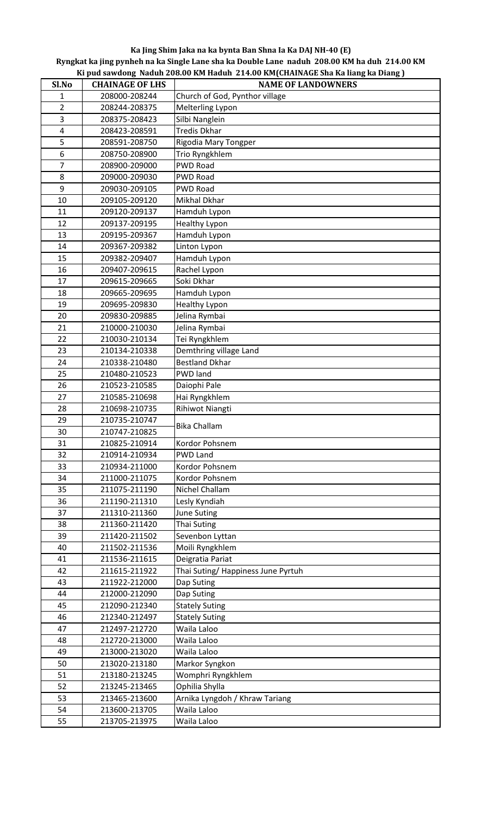## **Ka Jing Shim Jaka na ka bynta Ban Shna Ia Ka DAJ NH‐40 (E)**

Ryngkat ka jing pynheh na ka Single Lane sha ka Double Lane naduh 208.00 KM ha duh 214.00 KM **Ki pud sawdong Naduh 208.00 KM Haduh 214.00 KM(CHAINAGE Sha Ka liang ka Diang )**

| Sl.No                   | <b>CHAINAGE OF LHS</b>         | <b>NAME OF LANDOWNERS</b>         |
|-------------------------|--------------------------------|-----------------------------------|
| 1                       | 208000-208244                  | Church of God, Pynthor village    |
| $\overline{\mathbf{c}}$ | 208244-208375                  | Melterling Lypon                  |
| 3                       | 208375-208423                  | Silbi Nanglein                    |
| $\overline{\mathbf{4}}$ | 208423-208591                  | <b>Tredis Dkhar</b>               |
| 5                       | 208591-208750                  | Rigodia Mary Tongper              |
| 6                       | 208750-208900                  | Trio Ryngkhlem                    |
| $\overline{7}$          | 208900-209000                  | <b>PWD Road</b>                   |
| 8                       | 209000-209030                  | PWD Road                          |
| 9                       | 209030-209105                  | <b>PWD Road</b>                   |
| 10                      | 209105-209120                  | Mikhal Dkhar                      |
| 11                      | 209120-209137                  | Hamduh Lypon                      |
| 12                      | 209137-209195                  | <b>Healthy Lypon</b>              |
| 13                      | 209195-209367                  | Hamduh Lypon                      |
| 14                      | 209367-209382                  | Linton Lypon                      |
| 15                      | 209382-209407                  | Hamduh Lypon                      |
| 16                      | 209407-209615                  | Rachel Lypon                      |
| 17                      | 209615-209665                  | Soki Dkhar                        |
| 18                      | 209665-209695                  | Hamduh Lypon                      |
| 19                      | 209695-209830                  | <b>Healthy Lypon</b>              |
| 20                      | 209830-209885                  | Jelina Rymbai                     |
| 21                      | 210000-210030                  | Jelina Rymbai                     |
| 22                      | 210030-210134                  | Tei Ryngkhlem                     |
| 23                      | 210134-210338                  | Demthring village Land            |
| 24                      | 210338-210480                  | <b>Bestland Dkhar</b>             |
| 25                      | 210480-210523                  | <b>PWD</b> land                   |
| 26                      | 210523-210585                  | Daiophi Pale                      |
| 27                      | 210585-210698                  | Hai Ryngkhlem                     |
| 28                      | 210698-210735                  | Rihiwot Niangti                   |
| 29                      | 210735-210747                  | <b>Bika Challam</b>               |
| 30                      | 210747-210825                  |                                   |
| 31                      | 210825-210914                  | Kordor Pohsnem                    |
| 32                      | 210914-210934                  | <b>PWD Land</b>                   |
| 33                      | 210934-211000                  | Kordor Pohsnem                    |
| 34                      | 211000-211075                  | Kordor Pohsnem                    |
| 35                      | 211075-211190                  | Nichel Challam                    |
| 36                      | 211190-211310                  | Lesly Kyndiah                     |
| 37                      | 211310-211360                  | <b>June Suting</b>                |
| 38<br>39                | 211360-211420<br>211420-211502 | Thai Suting<br>Sevenbon Lyttan    |
| 40                      |                                | Moili Ryngkhlem                   |
| 41                      | 211502-211536<br>211536-211615 | Deigratia Pariat                  |
| 42                      | 211615-211922                  | Thai Suting/Happiness June Pyrtuh |
| 43                      | 211922-212000                  | Dap Suting                        |
| 44                      | 212000-212090                  | Dap Suting                        |
| 45                      | 212090-212340                  | <b>Stately Suting</b>             |
| 46                      | 212340-212497                  | <b>Stately Suting</b>             |
| 47                      | 212497-212720                  | Waila Laloo                       |
| 48                      | 212720-213000                  | Waila Laloo                       |
| 49                      | 213000-213020                  | Waila Laloo                       |
| 50                      | 213020-213180                  | Markor Syngkon                    |
| 51                      | 213180-213245                  | Womphri Ryngkhlem                 |
| 52                      | 213245-213465                  | Ophilia Shylla                    |
| 53                      | 213465-213600                  | Arnika Lyngdoh / Khraw Tariang    |
| 54                      | 213600-213705                  | Waila Laloo                       |
| 55                      | 213705-213975                  | Waila Laloo                       |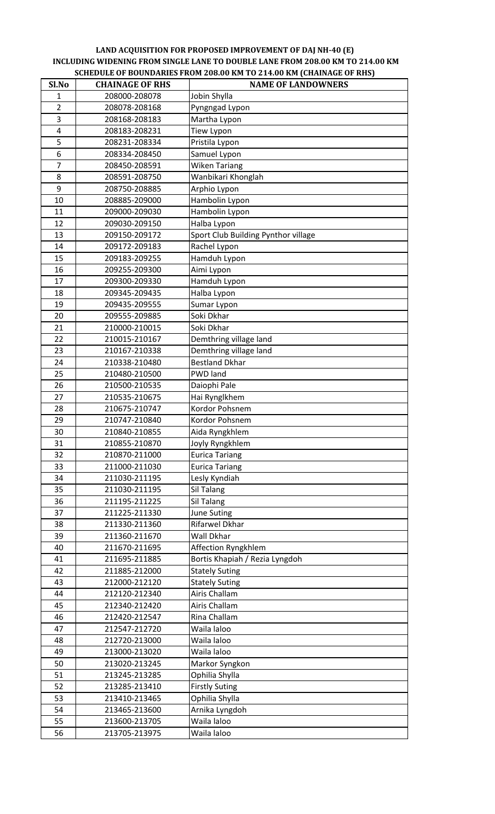## **LAND ACQUISITION FOR PROPOSED IMPROVEMENT OF DAJ NH‐40 (E) INCLUDING WIDENING FROM SINGLE LANE TO DOUBLE LANE FROM 208.00 KM TO 214.00 KM SCHEDULE OF BOUNDARIES FROM 208.00 KM TO 214.00 KM (CHAINAGE OF RHS)**

| Sl.No          | <b>CHAINAGE OF RHS</b>         | <b>NAME OF LANDOWNERS</b>                |
|----------------|--------------------------------|------------------------------------------|
| $\mathbf{1}$   | 208000-208078                  | Jobin Shylla                             |
| $\overline{2}$ | 208078-208168                  | Pyngngad Lypon                           |
| 3              | 208168-208183                  | Martha Lypon                             |
| 4              | 208183-208231                  | Tiew Lypon                               |
| 5              | 208231-208334                  | Pristila Lypon                           |
| 6              | 208334-208450                  | Samuel Lypon                             |
| $\overline{7}$ | 208450-208591                  | Wiken Tariang                            |
| 8              | 208591-208750                  | Wanbikari Khonglah                       |
| 9              | 208750-208885                  | Arphio Lypon                             |
| 10             | 208885-209000                  | Hambolin Lypon                           |
| 11             | 209000-209030                  | Hambolin Lypon                           |
| 12             | 209030-209150                  | Halba Lypon                              |
| 13             | 209150-209172                  | Sport Club Building Pynthor village      |
| 14             | 209172-209183                  | Rachel Lypon                             |
| 15             | 209183-209255                  | Hamduh Lypon                             |
| 16             | 209255-209300                  | Aimi Lypon                               |
| 17             | 209300-209330                  | Hamduh Lypon                             |
| 18             | 209345-209435                  | Halba Lypon                              |
| 19             | 209435-209555                  | Sumar Lypon                              |
| 20             | 209555-209885                  | Soki Dkhar                               |
| 21             | 210000-210015                  | Soki Dkhar                               |
| 22             | 210015-210167                  | Demthring village land                   |
| 23             | 210167-210338                  | Demthring village land                   |
| 24             | 210338-210480                  | <b>Bestland Dkhar</b>                    |
| 25             | 210480-210500                  | <b>PWD land</b>                          |
| 26             | 210500-210535                  | Daiophi Pale                             |
| 27             | 210535-210675                  | Hai Rynglkhem                            |
| 28             | 210675-210747                  | Kordor Pohsnem                           |
| 29             | 210747-210840<br>210840-210855 | Kordor Pohsnem                           |
| 30             |                                | Aida Ryngkhlem                           |
| 31<br>32       | 210855-210870<br>210870-211000 | Joyly Ryngkhlem<br><b>Eurica Tariang</b> |
| 33             | 211000-211030                  | <b>Eurica Tariang</b>                    |
| 34             | 211030-211195                  | Lesly Kyndiah                            |
| 35             | 211030-211195                  | Sil Talang                               |
| 36             | 211195-211225                  | Sil Talang                               |
| 37             | 211225-211330                  | <b>June Suting</b>                       |
| 38             | 211330-211360                  | Rifarwel Dkhar                           |
| 39             | 211360-211670                  | Wall Dkhar                               |
| 40             | 211670-211695                  | Affection Ryngkhlem                      |
| 41             | 211695-211885                  | Bortis Khapiah / Rezia Lyngdoh           |
| 42             | 211885-212000                  | <b>Stately Suting</b>                    |
| 43             | 212000-212120                  | <b>Stately Suting</b>                    |
| 44             | 212120-212340                  | Airis Challam                            |
| 45             | 212340-212420                  | Airis Challam                            |
| 46             | 212420-212547                  | Rina Challam                             |
| 47             | 212547-212720                  | Waila laloo                              |
| 48             | 212720-213000                  | Waila laloo                              |
| 49             | 213000-213020                  | Waila laloo                              |
| 50             | 213020-213245                  | Markor Syngkon                           |
| 51             | 213245-213285                  | Ophilia Shylla                           |
| 52             | 213285-213410                  | <b>Firstly Suting</b>                    |
| 53             | 213410-213465                  | Ophilia Shylla                           |
| 54             | 213465-213600                  | Arnika Lyngdoh                           |
| 55             | 213600-213705                  | Waila laloo                              |
| 56             | 213705-213975                  | Waila laloo                              |